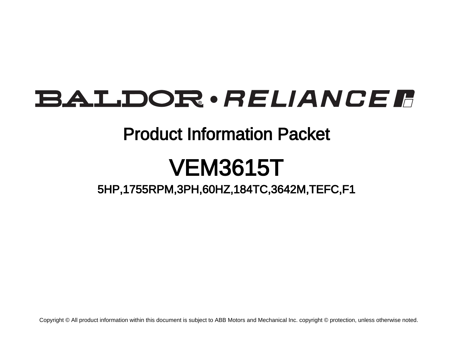## BALDOR · RELIANCE F

### Product Information Packet

# VEM3615T

5HP,1755RPM,3PH,60HZ,184TC,3642M,TEFC,F1

Copyright © All product information within this document is subject to ABB Motors and Mechanical Inc. copyright © protection, unless otherwise noted.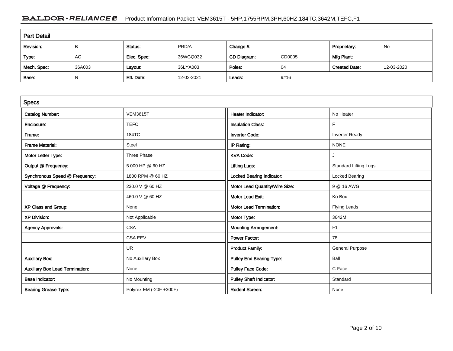#### BALDOR · RELIANCE F Product Information Packet: VEM3615T - 5HP,1755RPM,3PH,60HZ,184TC,3642M,TEFC,F1

| <b>Part Detail</b> |        |             |            |             |        |                      |            |  |
|--------------------|--------|-------------|------------|-------------|--------|----------------------|------------|--|
| Revision:          | B      | Status:     | PRD/A      | Change #:   |        | Proprietary:         | No         |  |
| Type:              | AC     | Elec. Spec: | 36WGQ032   | CD Diagram: | CD0005 | Mfg Plant:           |            |  |
| Mech. Spec:        | 36A003 | Layout:     | 36LYA003   | Poles:      | 04     | <b>Created Date:</b> | 12-03-2020 |  |
| Base:              | N      | Eff. Date:  | 12-02-2021 | Leads:      | 9#16   |                      |            |  |

| <b>Specs</b>                           |                         |                                  |                              |
|----------------------------------------|-------------------------|----------------------------------|------------------------------|
| <b>Catalog Number:</b>                 | <b>VEM3615T</b>         | <b>Heater Indicator:</b>         | No Heater                    |
| Enclosure:                             | <b>TEFC</b>             | <b>Insulation Class:</b>         | F                            |
| Frame:                                 | 184TC                   | <b>Inverter Code:</b>            | <b>Inverter Ready</b>        |
| <b>Frame Material:</b>                 | Steel                   | IP Rating:                       | <b>NONE</b>                  |
| Motor Letter Type:                     | Three Phase             | <b>KVA Code:</b>                 | J                            |
| Output @ Frequency:                    | 5.000 HP @ 60 HZ        | <b>Lifting Lugs:</b>             | <b>Standard Lifting Lugs</b> |
| Synchronous Speed @ Frequency:         | 1800 RPM @ 60 HZ        | <b>Locked Bearing Indicator:</b> | Locked Bearing               |
| Voltage @ Frequency:                   | 230.0 V @ 60 HZ         | Motor Lead Quantity/Wire Size:   | 9 @ 16 AWG                   |
|                                        | 460.0 V @ 60 HZ         | <b>Motor Lead Exit:</b>          | Ko Box                       |
| XP Class and Group:                    | None                    | <b>Motor Lead Termination:</b>   | <b>Flying Leads</b>          |
| <b>XP Division:</b>                    | Not Applicable          | Motor Type:                      | 3642M                        |
| <b>Agency Approvals:</b>               | <b>CSA</b>              | <b>Mounting Arrangement:</b>     | F <sub>1</sub>               |
|                                        | <b>CSA EEV</b>          | Power Factor:                    | 78                           |
|                                        | <b>UR</b>               | <b>Product Family:</b>           | <b>General Purpose</b>       |
| <b>Auxillary Box:</b>                  | No Auxillary Box        | <b>Pulley End Bearing Type:</b>  | Ball                         |
| <b>Auxillary Box Lead Termination:</b> | None                    | <b>Pulley Face Code:</b>         | C-Face                       |
| <b>Base Indicator:</b>                 | No Mounting             | <b>Pulley Shaft Indicator:</b>   | Standard                     |
| <b>Bearing Grease Type:</b>            | Polyrex EM (-20F +300F) | <b>Rodent Screen:</b>            | None                         |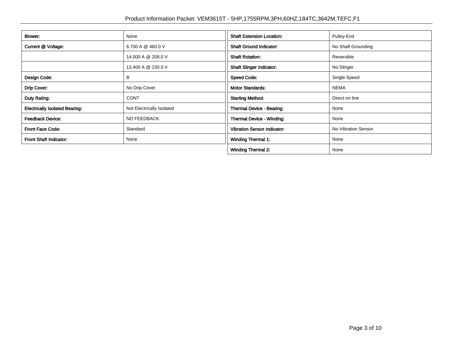| Blower:                               | None                      | <b>Shaft Extension Location:</b>   | <b>Pulley End</b>   |
|---------------------------------------|---------------------------|------------------------------------|---------------------|
| Current @ Voltage:                    | 6.700 A @ 460.0 V         | <b>Shaft Ground Indicator:</b>     | No Shaft Grounding  |
|                                       | 14.000 A @ 208.0 V        | <b>Shaft Rotation:</b>             | Reversible          |
|                                       | 13.400 A @ 230.0 V        | <b>Shaft Slinger Indicator:</b>    | No Slinger          |
| Design Code:                          | B                         | <b>Speed Code:</b>                 | Single Speed        |
| Drip Cover:                           | No Drip Cover             | <b>Motor Standards:</b>            | <b>NEMA</b>         |
| Duty Rating:                          | <b>CONT</b>               | <b>Starting Method:</b>            | Direct on line      |
| <b>Electrically Isolated Bearing:</b> | Not Electrically Isolated | Thermal Device - Bearing:          | None                |
| <b>Feedback Device:</b>               | NO FEEDBACK               | Thermal Device - Winding:          | None                |
| <b>Front Face Code:</b>               | Standard                  | <b>Vibration Sensor Indicator:</b> | No Vibration Sensor |
| Front Shaft Indicator:                | None                      | <b>Winding Thermal 1:</b>          | None                |
|                                       |                           | <b>Winding Thermal 2:</b>          | None                |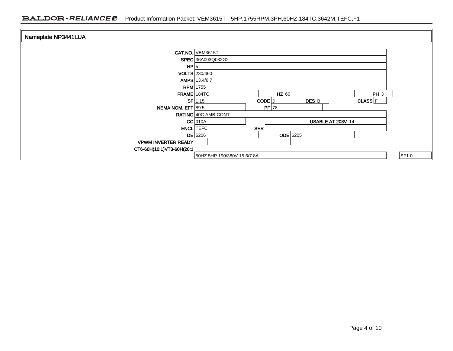| Nameplate NP3441LUA        |                                                                        |
|----------------------------|------------------------------------------------------------------------|
|                            | <b>CAT.NO. VEM3615T</b>                                                |
|                            | SPEC 36A003Q032G2                                                      |
| HP 5                       |                                                                        |
|                            | VOLTS 230/460                                                          |
|                            | AMPS 13.4/6.7                                                          |
|                            | <b>RPM</b> 1755                                                        |
|                            | $HZ$ 60<br>PH 3<br>FRAME 184TC                                         |
|                            | $DES$ <sub>B</sub><br>$SF$ 1.15<br>CODE <sup>J</sup><br><b>CLASS</b> F |
| NEMA NOM. EFF 89.5         | $PF$ 78                                                                |
|                            | RATING 40C AMB-CONT                                                    |
|                            | $CC$ 010A<br><b>USABLE AT 208V 14</b>                                  |
|                            | <b>ENCL</b> TEFC<br>SER                                                |
|                            | <b>ODE</b> 6205<br>$DE$ 6206                                           |
| <b>VPWM INVERTER READY</b> |                                                                        |
| CT6-60H(10:1)VT3-60H(20:1  |                                                                        |
|                            | SF1.0<br>50HZ 5HP 190/380V 15.6/7.8A                                   |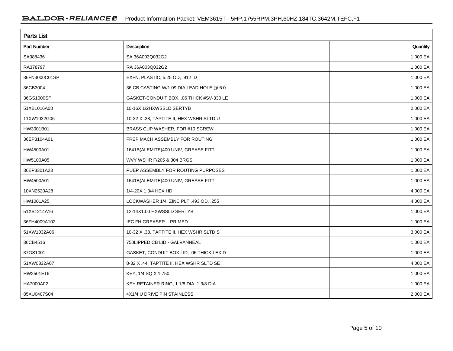| <b>Parts List</b> |                                          |          |  |  |  |
|-------------------|------------------------------------------|----------|--|--|--|
| Part Number       | Description                              | Quantity |  |  |  |
| SA388436          | SA 36A003Q032G2                          | 1.000 EA |  |  |  |
| RA378797          | RA 36A003Q032G2                          | 1.000 EA |  |  |  |
| 36FN3000C01SP     | EXFN, PLASTIC, 5.25 OD, .912 ID          | 1.000 EA |  |  |  |
| 36CB3004          | 36 CB CASTING W/1.09 DIA LEAD HOLE @ 6:0 | 1.000 EA |  |  |  |
| 36GS1000SP        | GASKET-CONDUIT BOX, .06 THICK #SV-330 LE | 1.000 EA |  |  |  |
| 51XB1016A08       | 10-16X 1/2HXWSSLD SERTYB                 | 2.000 EA |  |  |  |
| 11XW1032G06       | 10-32 X .38, TAPTITE II, HEX WSHR SLTD U | 1.000 EA |  |  |  |
| HW3001B01         | BRASS CUP WASHER, FOR #10 SCREW          | 1.000 EA |  |  |  |
| 36EP3104A01       | FREP MACH ASSEMBLY FOR ROUTING           | 1.000 EA |  |  |  |
| HW4500A01         | 1641B(ALEMITE)400 UNIV, GREASE FITT      | 1.000 EA |  |  |  |
| HW5100A05         | WVY WSHR F/205 & 304 BRGS                | 1.000 EA |  |  |  |
| 36EP3301A23       | PUEP ASSEMBLY FOR ROUTING PURPOSES       | 1.000 EA |  |  |  |
| HW4500A01         | 1641B(ALEMITE)400 UNIV, GREASE FITT      | 1.000 EA |  |  |  |
| 10XN2520A28       | 1/4-20X 1 3/4 HEX HD                     | 4.000 EA |  |  |  |
| HW1001A25         | LOCKWASHER 1/4, ZINC PLT .493 OD, .255 I | 4.000 EA |  |  |  |
| 51XB1214A16       | 12-14X1.00 HXWSSLD SERTYB                | 1.000 EA |  |  |  |
| 36FH4009A102      | <b>IEC FH GREASER PRIMED</b>             | 1.000 EA |  |  |  |
| 51XW1032A06       | 10-32 X .38, TAPTITE II, HEX WSHR SLTD S | 3.000 EA |  |  |  |
| 36CB4516          | 750LIPPED CB LID - GALVANNEAL            | 1.000 EA |  |  |  |
| 37GS1001          | GASKET, CONDUIT BOX LID, .06 THICK LEXID | 1.000 EA |  |  |  |
| 51XW0832A07       | 8-32 X .44, TAPTITE II, HEX WSHR SLTD SE | 4.000 EA |  |  |  |
| HW2501E16         | KEY, 1/4 SQ X 1.750                      | 1.000 EA |  |  |  |
| HA7000A02         | KEY RETAINER RING, 1 1/8 DIA, 1 3/8 DIA  | 1.000 EA |  |  |  |
| 85XU0407S04       | 4X1/4 U DRIVE PIN STAINLESS              | 2.000 EA |  |  |  |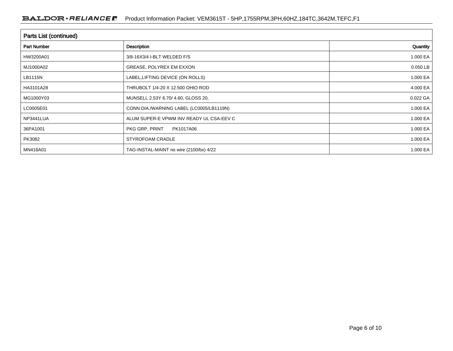| Parts List (continued) |                                          |          |  |  |  |
|------------------------|------------------------------------------|----------|--|--|--|
| <b>Part Number</b>     | Description                              | Quantity |  |  |  |
| HW3200A01              | 3/8-16X3/4 I-BLT WELDED F/S              | 1.000 EA |  |  |  |
| MJ1000A02              | GREASE, POLYREX EM EXXON                 | 0.050 LB |  |  |  |
| LB1115N                | LABEL, LIFTING DEVICE (ON ROLLS)         | 1.000 EA |  |  |  |
| HA3101A28              | THRUBOLT 1/4-20 X 12.500 OHIO ROD        | 4.000 EA |  |  |  |
| MG1000Y03              | MUNSELL 2.53Y 6.70/ 4.60, GLOSS 20,      | 0.022 GA |  |  |  |
| LC0005E01              | CONN.DIA./WARNING LABEL (LC0005/LB1119N) | 1.000 EA |  |  |  |
| NP3441LUA              | ALUM SUPER-E VPWM INV READY UL CSA-EEV C | 1.000 EA |  |  |  |
| 36PA1001               | PKG GRP, PRINT<br>PK1017A06              | 1.000 EA |  |  |  |
| PK3082                 | STYROFOAM CRADLE                         | 1.000 EA |  |  |  |
| MN416A01               | TAG-INSTAL-MAINT no wire (2100/bx) 4/22  | 1.000 EA |  |  |  |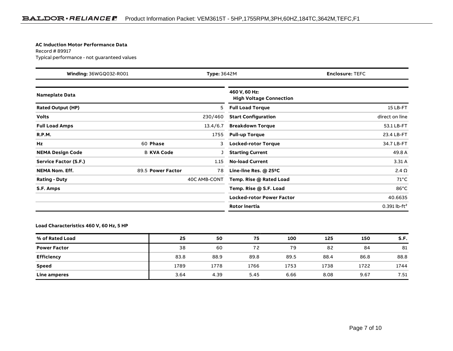#### **AC Induction Motor Performance Data**

Record # 89917Typical performance - not guaranteed values

| Winding: 36WGQ032-R001<br><b>Type: 3642M</b> |                   | <b>Enclosure: TEFC</b> |                                                 |                            |
|----------------------------------------------|-------------------|------------------------|-------------------------------------------------|----------------------------|
| <b>Nameplate Data</b>                        |                   |                        | 460 V, 60 Hz:<br><b>High Voltage Connection</b> |                            |
| <b>Rated Output (HP)</b>                     |                   | 5                      | <b>Full Load Torque</b>                         | 15 LB-FT                   |
| <b>Volts</b>                                 |                   | 230/460                | <b>Start Configuration</b>                      | direct on line             |
| <b>Full Load Amps</b>                        |                   | 13.4/6.7               | <b>Breakdown Torque</b>                         | 53.1 LB-FT                 |
| <b>R.P.M.</b>                                |                   | 1755                   | <b>Pull-up Torque</b>                           | 23.4 LB-FT                 |
| Hz                                           | 60 Phase          | 3                      | <b>Locked-rotor Torque</b>                      | 34.7 LB-FT                 |
| <b>NEMA Design Code</b>                      | <b>B KVA Code</b> |                        | <b>Starting Current</b>                         | 49.8 A                     |
| Service Factor (S.F.)                        |                   | 1.15                   | <b>No-load Current</b>                          | 3.31A                      |
| <b>NEMA Nom. Eff.</b>                        | 89.5 Power Factor | 78                     | Line-line Res. $@$ 25 <sup>o</sup> C            | $2.4 \Omega$               |
| <b>Rating - Duty</b>                         |                   | 40C AMB-CONT           | Temp. Rise @ Rated Load                         | $71^{\circ}$ C             |
| S.F. Amps                                    |                   |                        | Temp. Rise @ S.F. Load                          | $86^{\circ}$ C             |
|                                              |                   |                        | <b>Locked-rotor Power Factor</b>                | 40.6635                    |
|                                              |                   |                        | <b>Rotor inertia</b>                            | $0.391$ lb-ft <sup>2</sup> |

**Load Characteristics 460 V, 60 Hz, 5 HP**

| % of Rated Load     | 25   | 50   | 75   | 100  | 125  | 150  | S.F. |
|---------------------|------|------|------|------|------|------|------|
| <b>Power Factor</b> | 38   | 60   | 72   | 79   | 82   | 84   | 81   |
| <b>Efficiency</b>   | 83.8 | 88.9 | 89.8 | 89.5 | 88.4 | 86.8 | 88.8 |
| Speed               | 1789 | 1778 | 1766 | 1753 | 1738 | 1722 | 1744 |
| <b>Line amperes</b> | 3.64 | 4.39 | 5.45 | 6.66 | 8.08 | 9.67 | 7.51 |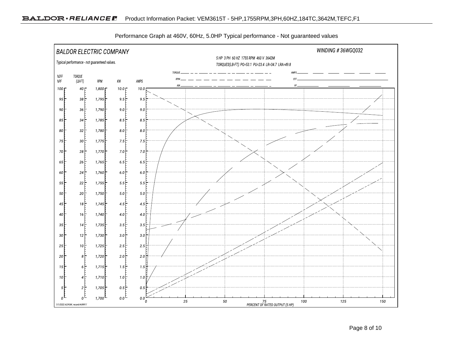

Performance Graph at 460V, 60Hz, 5.0HP Typical performance - Not guaranteed values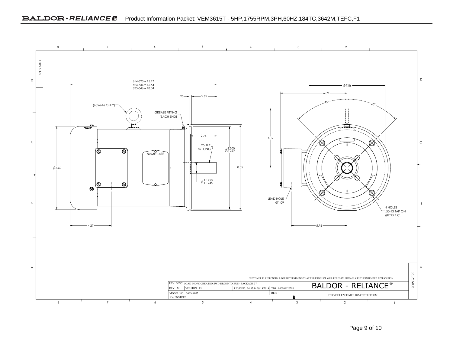